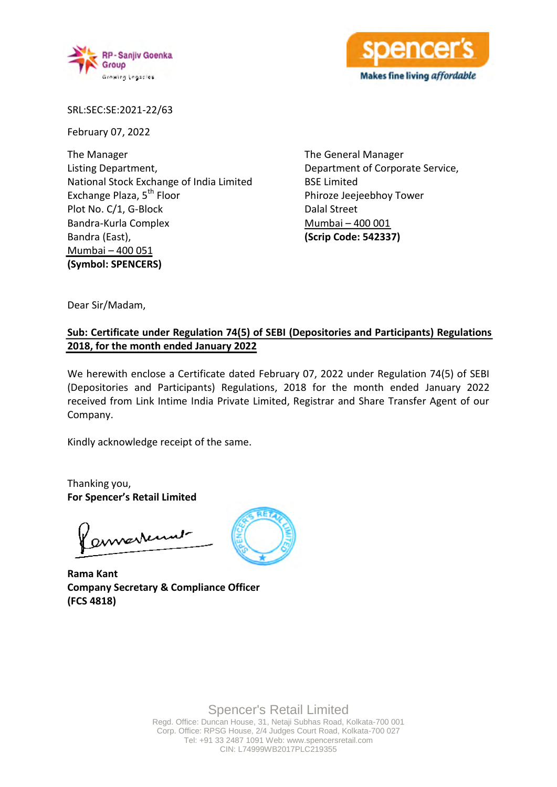



SRL:SEC:SE:2021-22/63

February 07, 2022

The Manager Listing Department, National Stock Exchange of India Limited Exchange Plaza, 5<sup>th</sup> Floor Plot No. C/1, G-Block Bandra-Kurla Complex Bandra (East), Mumbai – 400 051 **(Symbol: SPENCERS)**

The General Manager Department of Corporate Service, BSE Limited Phiroze Jeejeebhoy Tower Dalal Street Mumbai – 400 001 **(Scrip Code: 542337)**

Dear Sir/Madam,

## **Sub: Certificate under Regulation 74(5) of SEBI (Depositories and Participants) Regulations 2018, for the month ended January 2022**

We herewith enclose a Certificate dated February 07, 2022 under Regulation 74(5) of SEBI (Depositories and Participants) Regulations, 2018 for the month ended January 2022 received from Link Intime India Private Limited, Registrar and Share Transfer Agent of our Company.

Kindly acknowledge receipt of the same.

Thanking you, **For Spencer's Retail Limited**

annestennet

**Rama Kant Company Secretary & Compliance Officer (FCS 4818)**